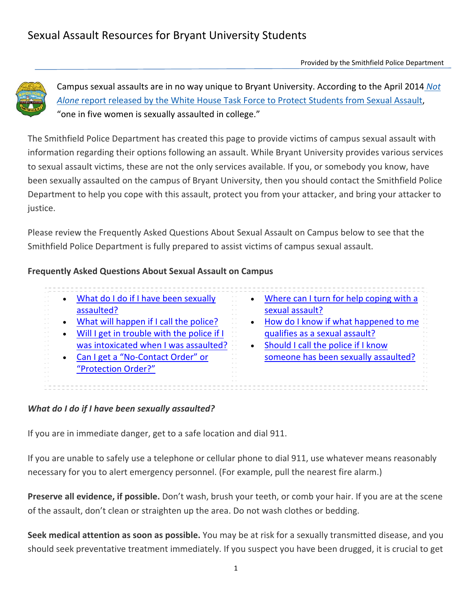

Campus sexual assaults are in no way unique to Bryant University. According to the April 2014 *Not Alone* report released by the White House Task Force to Protect Students from Sexual Assault, "one in five women is sexually assaulted in college."

The Smithfield Police Department has created this page to provide victims of campus sexual assault with information regarding their options following an assault. While Bryant University provides various services to sexual assault victims, these are not the only services available. If you, or somebody you know, have been sexually assaulted on the campus of Bryant University, then you should contact the Smithfield Police Department to help you cope with this assault, protect you from your attacker, and bring your attacker to justice.

Please review the Frequently Asked Questions About Sexual Assault on Campus below to see that the Smithfield Police Department is fully prepared to assist victims of campus sexual assault.

## **Frequently Asked Questions About Sexual Assault on Campus**

| What do I do if I have been sexually<br>assaulted? |           | Where can I turn for help coping with a<br>sexual assault? |
|----------------------------------------------------|-----------|------------------------------------------------------------|
| What will happen if I call the police?             | $\bullet$ | How do I know if what happened to me                       |
| Will I get in trouble with the police if I         |           | qualifies as a sexual assault?                             |
| was intoxicated when I was assaulted?              |           | Should I call the police if I know                         |
| Can I get a "No-Contact Order" or                  |           | someone has been sexually assaulted?                       |
| "Protection Order?"                                |           |                                                            |
|                                                    |           |                                                            |

#### *What do I do if I have been sexually assaulted?*

If you are in immediate danger, get to a safe location and dial 911.

If you are unable to safely use a telephone or cellular phone to dial 911, use whatever means reasonably necessary for you to alert emergency personnel. (For example, pull the nearest fire alarm.)

**Preserve all evidence, if possible.** Don't wash, brush your teeth, or comb your hair. If you are at the scene of the assault, don't clean or straighten up the area. Do not wash clothes or bedding.

**Seek medical attention as soon as possible.** You may be at risk for a sexually transmitted disease, and you should seek preventative treatment immediately. If you suspect you have been drugged, it is crucial to get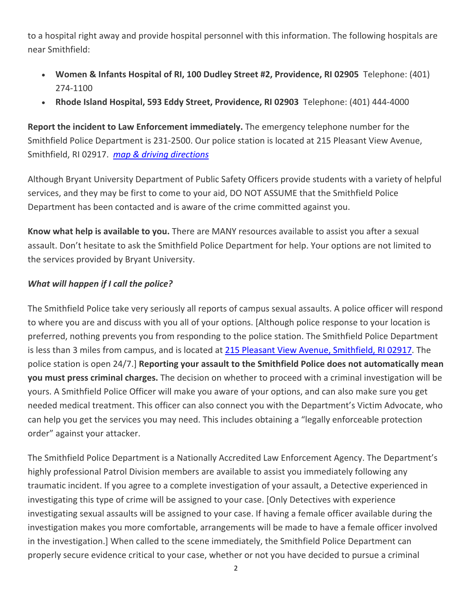to a hospital right away and provide hospital personnel with this information. The following hospitals are near Smithfield:

- **Women & Infants Hospital of RI, 100 Dudley Street #2, Providence, RI 02905** Telephone: (401) 274‐1100
- **Rhode Island Hospital, 593 Eddy Street, Providence, RI 02903** Telephone: (401) 444‐4000

**Report the incident to Law Enforcement immediately.** The emergency telephone number for the Smithfield Police Department is 231‐2500. Our police station is located at 215 Pleasant View Avenue, Smithfield, RI 02917. *map & driving directions*

Although Bryant University Department of Public Safety Officers provide students with a variety of helpful services, and they may be first to come to your aid, DO NOT ASSUME that the Smithfield Police Department has been contacted and is aware of the crime committed against you.

**Know what help is available to you.** There are MANY resources available to assist you after a sexual assault. Don't hesitate to ask the Smithfield Police Department for help. Your options are not limited to the services provided by Bryant University.

# *What will happen if I call the police?*

The Smithfield Police take very seriously all reports of campus sexual assaults. A police officer will respond to where you are and discuss with you all of your options. [Although police response to your location is preferred, nothing prevents you from responding to the police station. The Smithfield Police Department is less than 3 miles from campus, and is located at 215 Pleasant View Avenue, Smithfield, RI 02917. The police station is open 24/7.] **Reporting your assault to the Smithfield Police does not automatically mean you must press criminal charges.** The decision on whether to proceed with a criminal investigation will be yours. A Smithfield Police Officer will make you aware of your options, and can also make sure you get needed medical treatment. This officer can also connect you with the Department's Victim Advocate, who can help you get the services you may need. This includes obtaining a "legally enforceable protection order" against your attacker.

The Smithfield Police Department is a Nationally Accredited Law Enforcement Agency. The Department's highly professional Patrol Division members are available to assist you immediately following any traumatic incident. If you agree to a complete investigation of your assault, a Detective experienced in investigating this type of crime will be assigned to your case. [Only Detectives with experience investigating sexual assaults will be assigned to your case. If having a female officer available during the investigation makes you more comfortable, arrangements will be made to have a female officer involved in the investigation.] When called to the scene immediately, the Smithfield Police Department can properly secure evidence critical to your case, whether or not you have decided to pursue a criminal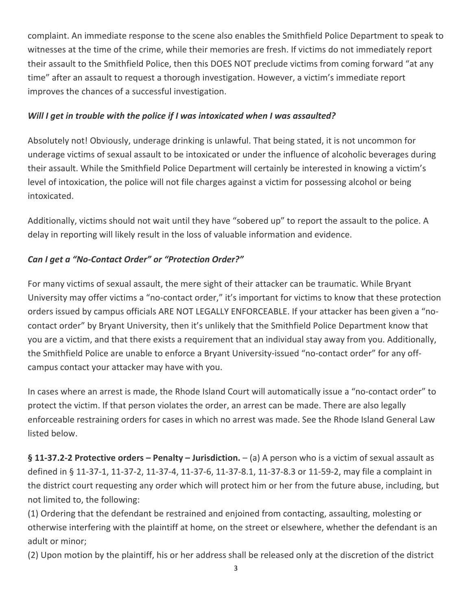complaint. An immediate response to the scene also enables the Smithfield Police Department to speak to witnesses at the time of the crime, while their memories are fresh. If victims do not immediately report their assault to the Smithfield Police, then this DOES NOT preclude victims from coming forward "at any time" after an assault to request a thorough investigation. However, a victim's immediate report improves the chances of a successful investigation.

## *Will I get in trouble with the police if I was intoxicated when I was assaulted?*

Absolutely not! Obviously, underage drinking is unlawful. That being stated, it is not uncommon for underage victims of sexual assault to be intoxicated or under the influence of alcoholic beverages during their assault. While the Smithfield Police Department will certainly be interested in knowing a victim's level of intoxication, the police will not file charges against a victim for possessing alcohol or being intoxicated.

Additionally, victims should not wait until they have "sobered up" to report the assault to the police. A delay in reporting will likely result in the loss of valuable information and evidence.

# *Can I get a "No‐Contact Order" or "Protection Order?"*

For many victims of sexual assault, the mere sight of their attacker can be traumatic. While Bryant University may offer victims a "no‐contact order," it's important for victims to know that these protection orders issued by campus officials ARE NOT LEGALLY ENFORCEABLE. If your attacker has been given a "no‐ contact order" by Bryant University, then it's unlikely that the Smithfield Police Department know that you are a victim, and that there exists a requirement that an individual stay away from you. Additionally, the Smithfield Police are unable to enforce a Bryant University‐issued "no‐contact order" for any off‐ campus contact your attacker may have with you.

In cases where an arrest is made, the Rhode Island Court will automatically issue a "no‐contact order" to protect the victim. If that person violates the order, an arrest can be made. There are also legally enforceable restraining orders for cases in which no arrest was made. See the Rhode Island General Law listed below.

**§ 11‐37.2‐2 Protective orders – Penalty – Jurisdiction.** – (a) A person who is a victim of sexual assault as defined in § 11‐37‐1, 11‐37‐2, 11‐37‐4, 11‐37‐6, 11‐37‐8.1, 11‐37‐8.3 or 11‐59‐2, may file a complaint in the district court requesting any order which will protect him or her from the future abuse, including, but not limited to, the following:

(1) Ordering that the defendant be restrained and enjoined from contacting, assaulting, molesting or otherwise interfering with the plaintiff at home, on the street or elsewhere, whether the defendant is an adult or minor;

(2) Upon motion by the plaintiff, his or her address shall be released only at the discretion of the district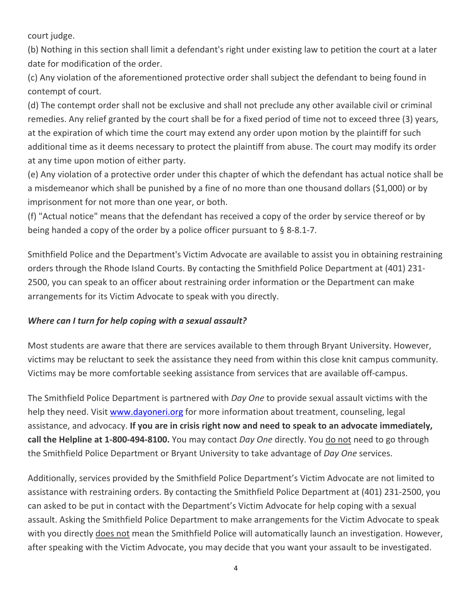court judge.

(b) Nothing in this section shall limit a defendant's right under existing law to petition the court at a later date for modification of the order.

(c) Any violation of the aforementioned protective order shall subject the defendant to being found in contempt of court.

(d) The contempt order shall not be exclusive and shall not preclude any other available civil or criminal remedies. Any relief granted by the court shall be for a fixed period of time not to exceed three (3) years, at the expiration of which time the court may extend any order upon motion by the plaintiff for such additional time as it deems necessary to protect the plaintiff from abuse. The court may modify its order at any time upon motion of either party.

(e) Any violation of a protective order under this chapter of which the defendant has actual notice shall be a misdemeanor which shall be punished by a fine of no more than one thousand dollars (\$1,000) or by imprisonment for not more than one year, or both.

(f) "Actual notice" means that the defendant has received a copy of the order by service thereof or by being handed a copy of the order by a police officer pursuant to § 8‐8.1‐7.

Smithfield Police and the Department's Victim Advocate are available to assist you in obtaining restraining orders through the Rhode Island Courts. By contacting the Smithfield Police Department at (401) 231‐ 2500, you can speak to an officer about restraining order information or the Department can make arrangements for its Victim Advocate to speak with you directly.

#### *Where can I turn for help coping with a sexual assault?*

Most students are aware that there are services available to them through Bryant University. However, victims may be reluctant to seek the assistance they need from within this close knit campus community. Victims may be more comfortable seeking assistance from services that are available off‐campus.

The Smithfield Police Department is partnered with *Day One* to provide sexual assault victims with the help they need. Visit www.dayoneri.org for more information about treatment, counseling, legal assistance, and advocacy. **If you are in crisis right now and need to speak to an advocate immediately, call the Helpline at 1‐800‐494‐8100.** You may contact *Day One* directly. You do not need to go through the Smithfield Police Department or Bryant University to take advantage of *Day One* services.

Additionally, services provided by the Smithfield Police Department's Victim Advocate are not limited to assistance with restraining orders. By contacting the Smithfield Police Department at (401) 231‐2500, you can asked to be put in contact with the Department's Victim Advocate for help coping with a sexual assault. Asking the Smithfield Police Department to make arrangements for the Victim Advocate to speak with you directly does not mean the Smithfield Police will automatically launch an investigation. However, after speaking with the Victim Advocate, you may decide that you want your assault to be investigated.